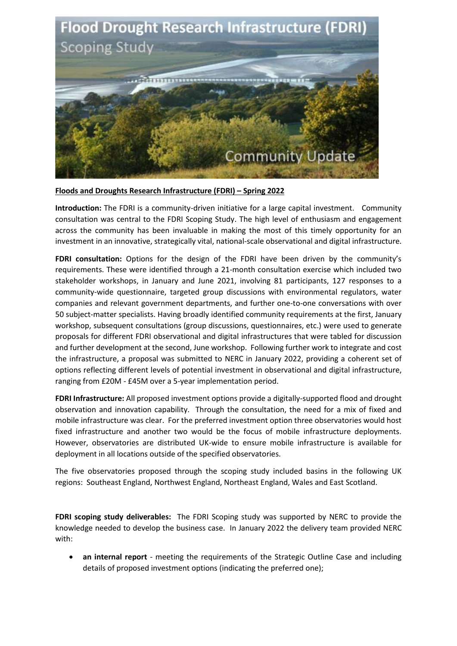

**Floods and Droughts Research Infrastructure (FDRI) – Spring 2022**

**Introduction:** The FDRI is a community-driven initiative for a large capital investment. Community consultation was central to the FDRI Scoping Study. The high level of enthusiasm and engagement across the community has been invaluable in making the most of this timely opportunity for an investment in an innovative, strategically vital, national-scale observational and digital infrastructure.

**FDRI consultation:** Options for the design of the FDRI have been driven by the community's requirements. These were identified through a 21-month consultation exercise which included two stakeholder workshops, in January and June 2021, involving 81 participants, 127 responses to a community-wide questionnaire, targeted group discussions with environmental regulators, water companies and relevant government departments, and further one-to-one conversations with over 50 subject-matter specialists. Having broadly identified community requirements at the first, January workshop, subsequent consultations (group discussions, questionnaires, etc.) were used to generate proposals for different FDRI observational and digital infrastructures that were tabled for discussion and further development at the second, June workshop. Following further work to integrate and cost the infrastructure, a proposal was submitted to NERC in January 2022, providing a coherent set of options reflecting different levels of potential investment in observational and digital infrastructure, ranging from £20M - £45M over a 5-year implementation period.

**FDRI Infrastructure:** All proposed investment options provide a digitally-supported flood and drought observation and innovation capability. Through the consultation, the need for a mix of fixed and mobile infrastructure was clear. For the preferred investment option three observatories would host fixed infrastructure and another two would be the focus of mobile infrastructure deployments. However, observatories are distributed UK-wide to ensure mobile infrastructure is available for deployment in all locations outside of the specified observatories.

The five observatories proposed through the scoping study included basins in the following UK regions: Southeast England, Northwest England, Northeast England, Wales and East Scotland.

**FDRI scoping study deliverables:** The FDRI Scoping study was supported by NERC to provide the knowledge needed to develop the business case. In January 2022 the delivery team provided NERC with:

 **an internal report** - meeting the requirements of the Strategic Outline Case and including details of proposed investment options (indicating the preferred one);